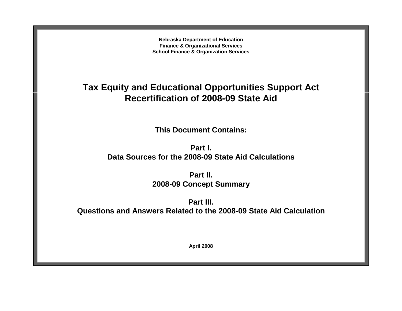**Nebraska Department of Education Finance & Organizational Services School Finance & Organization Services**

# **Tax Equity and Educational Opportunities Support Act Recertification of 2008-09 State Aid**

**This Document Contains:**

**Part I. Data Sources for the 2008-09 State Aid Calculations**

> **Part II. 2008-09 Concept Summary**

**Part III. Questions and Answers Related to the 2008-09 State Aid Calculation**

**April 2008**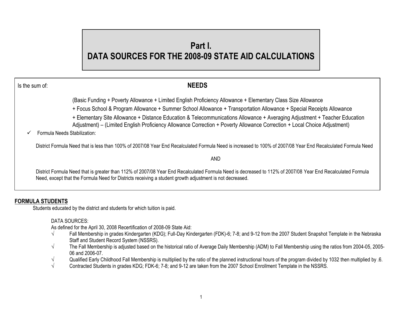# **Part I. DATA SOURCES FOR THE 2008-09 STATE AID CALCULATIONS**

Is the sum of: **NEEDS**

(Basic Funding + Poverty Allowance + Limited English Proficiency Allowance + Elementary Class Size Allowance

+ Focus School & Program Allowance + Summer School Allowance + Transportation Allowance + Special Receipts Allowance

+ Elementary Site Allowance + Distance Education & Telecommunications Allowance + Averaging Adjustment + Teacher Education

Adjustment) – (Limited English Proficiency Allowance Correction + Poverty Allowance Correction + Local Choice Adjustment)

Formula Needs Stabilization:

District Formula Need that is less than 100% of 2007/08 Year End Recalculated Formula Need is increased to 100% of 2007/08 Year End Recalculated Formula Need

AND

District Formula Need that is greater than 112% of 2007/08 Year End Recalculated Formula Need is decreased to 112% of 2007/08 Year End Recalculated Formula Need, except that the Formula Need for Districts receiving a student growth adjustment is not decreased.

# **FORMULA STUDENTS**

Students educated by the district and students for which tuition is paid.

# DATA SOURCES:

As defined for the April 30, 2008 Recertification of 2008-09 State Aid:

- √ Fall Membership in grades Kindergarten (KDG); Full-Day Kindergarten (FDK)-6; 7-8; and 9-12 from the 2007 Student Snapshot Template in the Nebraska Staff and Student Record System (NSSRS).
- √ The Fall Membership is adjusted based on the historical ratio of Average Daily Membership (ADM) to Fall Membership using the ratios from 2004-05, 2005- 06 and 2006-07.
- $\sqrt{}$  Qualified Early Childhood Fall Membership is multiplied by the ratio of the planned instructional hours of the program divided by 1032 then multiplied by 0.6.
- √ Contracted Students in grades KDG; FDK-6; 7-8; and 9-12 are taken from the 2007 School Enrollment Template in the NSSRS.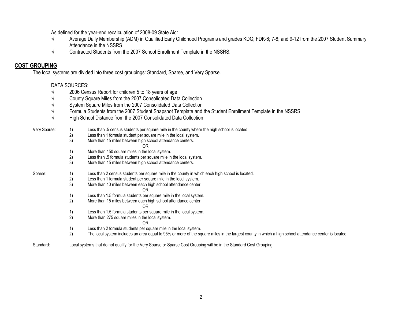As defined for the year-end recalculation of 2008-09 State Aid:

- √ Average Daily Membership (ADM) in Qualified Early Childhood Programs and grades KDG; FDK-6; 7-8; and 9-12 from the 2007 Student Summary Attendance in the NSSRS.
- √ Contracted Students from the 2007 School Enrollment Template in the NSSRS.

# **COST GROUPING**

The local systems are divided into three cost groupings: Standard, Sparse, and Very Sparse.

# DATA SOURCES:

- $\sqrt{\frac{1}{2006}}$  Census Report for children 5 to 18 years of age  $\sqrt{\frac{1}{200}}$
- √ County Square Miles from the 2007 Consolidated Data Collection
- √ System Square Miles from the 2007 Consolidated Data Collection
- √ Formula Students from the 2007 Student Snapshot Template and the Student Enrollment Template in the NSSRS
- √ High School Distance from the 2007 Consolidated Data Collection

# Very Sparse: 1) Less than .5 census students per square mile in the county where the high school is located.

- Less than 1 formula student per square mile in the local system.
	- 3) More than 15 miles between high school attendance centers.
		- OR
- 1) More than 450 square miles in the local system.
- $2)$  Less than .5 formula students per square mile in the local system.<br>3) More than 15 miles between high school attendance centers.
- More than 15 miles between high school attendance centers.

# Sparse: 1) Less than 2 census students per square mile in the county in which each high school is located.<br>2) Less than 1 formula student per square mile in the local system.

- Less than 1 formula student per square mile in the local system.
- 3) More than 10 miles between each high school attendance center. OR
	-
- 1) Less than 1.5 formula students per square mile in the local system.<br>2) More than 15 miles between each high school attendance center.
- 2) More than 15 miles between each high school attendance center.

#### OR

- 1) Less than 1.5 formula students per square mile in the local system.
- 2) More than 275 square miles in the local system.

#### OR

- 1) Less than 2 formula students per square mile in the local system.
- 2) The local system includes an area equal to 95% or more of the square miles in the largest county in which a high school attendance center is located.

#### Standard: Local systems that do not qualify for the Very Sparse or Sparse Cost Grouping will be in the Standard Cost Grouping.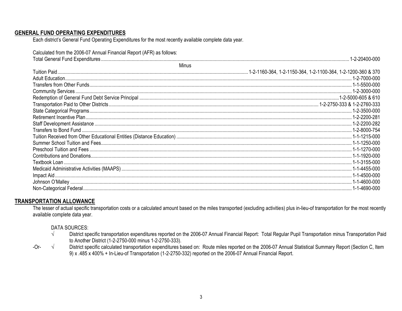# **GENERAL FUND OPERATING EXPENDITURES**

Each district's General Fund Operating Expenditures for the most recently available complete data year.

| Calculated from the 2006-07 Annual Financial Report (AFR) as follows: |                |
|-----------------------------------------------------------------------|----------------|
|                                                                       | 1-2-20400-000  |
| Minus                                                                 |                |
|                                                                       |                |
|                                                                       |                |
|                                                                       |                |
|                                                                       |                |
|                                                                       |                |
|                                                                       |                |
|                                                                       | . 1-2-3500-000 |
|                                                                       |                |
|                                                                       |                |
|                                                                       |                |
|                                                                       |                |
|                                                                       |                |
|                                                                       |                |
|                                                                       |                |
|                                                                       |                |
|                                                                       |                |
|                                                                       |                |
|                                                                       |                |
|                                                                       |                |

# **TRANSPORTATION ALLOWANCE**

The lesser of actual specific transportation costs or a calculated amount based on the miles transported (excluding activities) plus in-lieu-of transportation for the most recently available complete data year.

# **DATA SOURCES:**

- $\sqrt{ }$ District specific transportation expenditures reported on the 2006-07 Annual Financial Report: Total Regular Pupil Transportation minus Transportation Paid to Another District (1-2-2750-000 minus 1-2-2750-333).
- $\sqrt{ }$ District specific calculated transportation expenditures based on: Route miles reported on the 2006-07 Annual Statistical Summary Report (Section C, Item  $-Or-$ 9) x .485 x 400% + In-Lieu-of Transportation (1-2-2750-332) reported on the 2006-07 Annual Financial Report.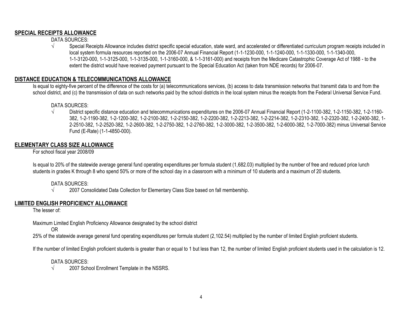# **SPECIAL RECEIPTS ALLOWANCE**

DATA SOURCES:

√ Special Receipts Allowance includes district specific special education, state ward, and accelerated or differentiated curriculum program receipts included in local system formula resources reported on the 2006-07 Annual Financial Report (1-1-1230-000, 1-1-1240-000, 1-1-1330-000, 1-1-1340-000, 1-1-3120-000, 1-1-3125-000, 1-1-3135-000, 1-1-3160-000, & 1-1-3161-000) and receipts from the Medicare Catastrophic Coverage Act of 1988 - to the extent the district would have received payment pursuant to the Special Education Act (taken from NDE records) for 2006-07.

# **DISTANCE EDUCATION & TELECOMMUNICATIONS ALLOWANCE**

Is equal to eighty-five percent of the difference of the costs for (a) telecommunications services, (b) access to data transmission networks that transmit data to and from the school district, and (c) the transmission of data on such networks paid by the school districts in the local system minus the receipts from the Federal Universal Service Fund.

#### DATA SOURCES:

√ District specific distance education and telecommunications expenditures on the 2006-07 Annual Financial Report (1-2-1100-382, 1-2-1150-382, 1-2-1160- 382, 1-2-1190-382, 1-2-1200-382, 1-2-2100-382, 1-2-2150-382, 1-2-2200-382, 1-2-2213-382, 1-2-2214-382, 1-2-2310-382, 1-2-2320-382, 1-2-2400-382, 1- 2-2510-382, 1-2-2520-382, 1-2-2600-382, 1-2-2750-382, 1-2-2760-382, 1-2-3000-382, 1-2-3500-382, 1-2-6000-382, 1-2-7000-382) minus Universal Service Fund (E-Rate) (1-1-4850-000).

# **ELEMENTARY CLASS SIZE ALLOWANCE**

For school fiscal year 2008/09

Is equal to 20% of the statewide average general fund operating expenditures per formula student (1,682.03) multiplied by the number of free and reduced price lunch students in grades K through 8 who spend 50% or more of the school day in a classroom with a minimum of 10 students and a maximum of 20 students.

# DATA SOURCES:

√ 2007 Consolidated Data Collection for Elementary Class Size based on fall membership.

# **LIMITED ENGLISH PROFICIENCY ALLOWANCE**

The lesser of:

Maximum Limited English Proficiency Allowance designated by the school district

OR

25% of the statewide average general fund operating expenditures per formula student (2,102.54) multiplied by the number of limited English proficient students.

If the number of limited English proficient students is greater than or equal to 1 but less than 12, the number of limited English proficient students used in the calculation is 12.

# DATA SOURCES:

 $\sqrt{2007}$  School Enrollment Template in the NSSRS.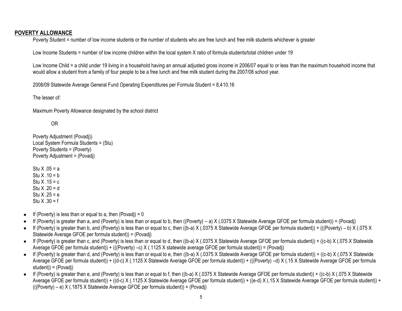# **POVERTY ALLOWANCE**

Poverty Student = number of low income students or the number of students who are free lunch and free milk students whichever is greater

Low Income Students = number of low income children within the local system X ratio of formula students/total children under 19

Low Income Child = a child under 19 living in a household having an annual adjusted gross income in 2006/07 equal to or less than the maximum household income that would allow a student from a family of four people to be a free lunch and free milk student during the 2007/08 school year.

2008/09 Statewide Average General Fund Operating Expenditures per Formula Student = 8,410.16

The lesser of:

Maximum Poverty Allowance designated by the school district

# OR

Poverty Adjustment (Povadj)) Local System Formula Students = (Stu) Poverty Students = (Poverty) Poverty Adjustment = (Povadj)

Stu  $X$  05 = a Stu  $X$   $10 = h$ Stu  $X .15 = c$ Stu  $X .20 = d$ Stu  $X .25 = e$ Stu  $X .30 = f$ 

- If (Poverty) is less than or equal to a, then (Povadj) =  $0$  $\bullet$
- If (Poverty) is greater than a, and (Poverty) is less than or equal to b, then ((Poverty) a) X (.0375 X Statewide Average GFOE per formula student)) = (Povadj)  $\bullet$
- $\bullet$  If (Poverty) is greater than b, and (Poverty) is less than or equal to c, then ((b-a) X (.0375 X Statewide Average GFOE per formula student)) + (((Poverty) b) X (.075 X Statewide Average GFOE per formula student)) = (Povadj)
- $\bullet$  If (Poverty) is greater than c, and (Poverty) is less than or equal to d, then ((b-a) X (.0375 X Statewide Average GFOE per formula student)) + ((c-b) X (.075 X Statewide Average GFOE per formula student)) + (((Poverty) –c) X (.1125 X statewide average GFOE per formula student)) = (Povadj)
- If (Poverty) is greater than d, and (Poverty) is less than or equal to e, then ((b-a) X (.0375 X Statewide Average GFOE per formula student)) + ((c-b) X (.075 X Statewide Average GFOE per formula student)) + ((d-c) X (.1125 X Statewide Average GFOE per formula student)) + (((Poverty) –d) X (.15 X Statewide Average GFOE per formula student)) = (Povadj)
- If (Poverty) is greater than e, and (Poverty) is less than or equal to f, then ((b-a) X (.0375 X Statewide Average GFOE per formula student)) + ((c-b) X (.075 X Statewide Average GFOE per formula student)) + ((d-c) X (.1125 X Statewide Average GFOE per formula student)) + ((e-d) X (.15 X Statewide Average GFOE per formula student)) + (((Poverty) – e) X (.1875 X Statewide Average GFOE per formula student)) = (Povadj)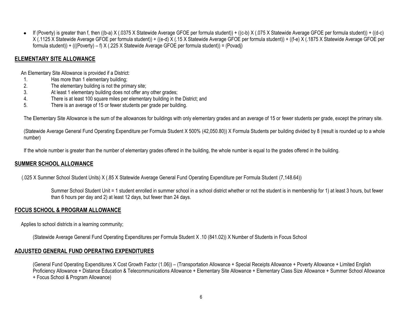If (Poverty) is greater than f, then ((b-a) X (.0375 X Statewide Average GFOE per formula student)) + ((c-b) X (.075 X Statewide Average GFOE per formula student)) + ((d-c) X (.1125 X Statewide Average GFOE per formula student)) + ((e-d) X (.15 X Statewide Average GFOE per formula student)) + ((f-e) X (.1875 X Statewide Average GFOE per formula student)) + (((Poverty) – f) X (.225 X Statewide Average GFOE per formula student)) = (Povadj)

# **ELEMENTARY SITE ALLOWANCE**

An Elementary Site Allowance is provided if a District:

- 1. Has more than 1 elementary building;
- 2. The elementary building is not the primary site;
- 3. At least 1 elementary building does not offer any other grades;
- 4. There is at least 100 square miles per elementary building in the District; and
- 5. There is an average of 15 or fewer students per grade per building.

The Elementary Site Allowance is the sum of the allowances for buildings with only elementary grades and an average of 15 or fewer students per grade, except the primary site.

(Statewide Average General Fund Operating Expenditure per Formula Student X 500% (42,050.80)) X Formula Students per building divided by 8 (result is rounded up to a whole number)

If the whole number is greater than the number of elementary grades offered in the building, the whole number is equal to the grades offered in the building.

# **SUMMER SCHOOL ALLOWANCE**

(.025 X Summer School Student Units) X (.85 X Statewide Average General Fund Operating Expenditure per Formula Student (7,148.64))

Summer School Student Unit = 1 student enrolled in summer school in a school district whether or not the student is in membership for 1) at least 3 hours, but fewer than 6 hours per day and 2) at least 12 days, but fewer than 24 days.

# **FOCUS SCHOOL & PROGRAM ALLOWANCE**

Applies to school districts in a learning community;

(Statewide Average General Fund Operating Expenditures per Formula Student X .10 (841.02)) X Number of Students in Focus School

# **ADJUSTED GENERAL FUND OPERATING EXPENDITURES**

(General Fund Operating Expenditures X Cost Growth Factor (1.06)) – (Transportation Allowance + Special Receipts Allowance + Poverty Allowance + Limited English Proficiency Allowance + Distance Education & Telecommunications Allowance + Elementary Site Allowance + Elementary Class Size Allowance + Summer School Allowance + Focus School & Program Allowance)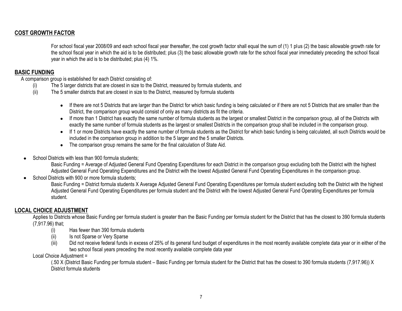# **COST GROWTH FACTOR**

For school fiscal year 2008/09 and each school fiscal year thereafter, the cost growth factor shall equal the sum of (1) 1 plus (2) the basic allowable growth rate for the school fiscal year in which the aid is to be distributed; plus (3) the basic allowable growth rate for the school fiscal year immediately preceding the school fiscal year in which the aid is to be distributed; plus (4) 1%.

# **BASIC FUNDING**

A comparison group is established for each District consisting of:

- (i) The 5 larger districts that are closest in size to the District, measured by formula students, and
- (ii) The 5 smaller districts that are closest in size to the District, measured by formula students
	- If there are not 5 Districts that are larger than the District for which basic funding is being calculated or if there are not 5 Districts that are smaller than the District, the comparison group would consist of only as many districts as fit the criteria.
	- If more than 1 District has exactly the same number of formula students as the largest or smallest District in the comparison group, all of the Districts with exactly the same number of formula students as the largest or smallest Districts in the comparison group shall be included in the comparison group.
	- If 1 or more Districts have exactly the same number of formula students as the District for which basic funding is being calculated, all such Districts would be included in the comparison group in addition to the 5 larger and the 5 smaller Districts.
	- The comparison group remains the same for the final calculation of State Aid.
- School Districts with less than 900 formula students;

Basic Funding = Average of Adjusted General Fund Operating Expenditures for each District in the comparison group excluding both the District with the highest Adjusted General Fund Operating Expenditures and the District with the lowest Adjusted General Fund Operating Expenditures in the comparison group.

School Districts with 900 or more formula students;

Basic Funding = District formula students X Average Adjusted General Fund Operating Expenditures per formula student excluding both the District with the highest Adjusted General Fund Operating Expenditures per formula student and the District with the lowest Adjusted General Fund Operating Expenditures per formula student.

# **LOCAL CHOICE ADJUSTMENT**

Applies to Districts whose Basic Funding per formula student is greater than the Basic Funding per formula student for the District that has the closest to 390 formula students (7,917.96) that;

- (i) Has fewer than 390 formula students
- (ii) Is not Sparse or Very Sparse
- (iii) Did not receive federal funds in excess of 25% of its general fund budget of expenditures in the most recently available complete data year or in either of the two school fiscal years preceding the most recently available complete data year

# Local Choice Adjustment =

(.50 X (District Basic Funding per formula student – Basic Funding per formula student for the District that has the closest to 390 formula students (7,917.96)) X District formula students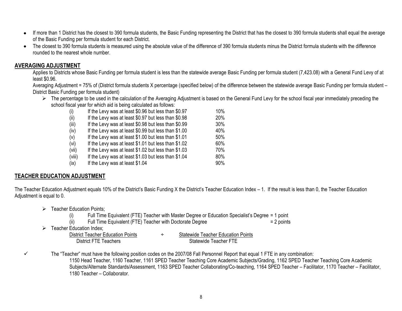- If more than 1 District has the closest to 390 formula students, the Basic Funding representing the District that has the closest to 390 formula students shall equal the average  $\bullet$ of the Basic Funding per formula student for each District.
- The closest to 390 formula students is measured using the absolute value of the difference of 390 formula students minus the District formula students with the difference  $\bullet$ rounded to the nearest whole number.

# **AVERAGING ADJUSTMENT**

Applies to Districts whose Basic Funding per formula student is less than the statewide average Basic Funding per formula student (7,423.08) with a General Fund Levy of at least \$0.96.

Averaging Adjustment = 75% of (District formula students X percentage (specified below) of the difference between the statewide average Basic Funding per formula student – District Basic Funding per formula student)

 $\triangleright$  The percentage to be used in the calculation of the Averaging Adjustment is based on the General Fund Levy for the school fiscal year immediately preceding the school fiscal year for which aid is being calculated as follows:

| (i)    | If the Levy was at least \$0.96 but less than \$0.97 | 10% |
|--------|------------------------------------------------------|-----|
| (ii)   | If the Levy was at least \$0.97 but less than \$0.98 | 20% |
| (iii)  | If the Levy was at least \$0.98 but less than \$0.99 | 30% |
| (iv)   | If the Levy was at least \$0.99 but less than \$1.00 | 40% |
| (v)    | If the Levy was at least \$1.00 but less than \$1.01 | 50% |
| (vi)   | If the Levy was at least \$1.01 but less than \$1.02 | 60% |
| (vii)  | If the Levy was at least \$1.02 but less than \$1.03 | 70% |
| (viii) | If the Levy was at least \$1.03 but less than \$1.04 | 80% |
| (ix)   | If the Levy was at least \$1.04                      | 90% |

# **TEACHER EDUCATION ADJUSTMENT**

The Teacher Education Adjustment equals 10% of the District's Basic Funding X the District's Teacher Education Index – 1. If the result is less than 0, the Teacher Education Adjustment is equal to 0.

- $\triangleright$  Teacher Education Points:
	- (i) Full Time Equivalent (FTE) Teacher with Master Degree or Education Specialist's Degree = 1 point

| (ii)<br>Full Time Equivalent (FTE) Teacher with Doctorate Degree | $= 2$ points |  |
|------------------------------------------------------------------|--------------|--|
|------------------------------------------------------------------|--------------|--|

- $\triangleright$  Teacher Education Index:
	- District Teacher Education Points **+** Statewide Teacher Education Points District FTE Teachers Statewide Teacher FTE
		-

 $\checkmark$  The "Teacher" must have the following position codes on the 2007/08 Fall Personnel Report that equal 1 FTE in any combination: 1150 Head Teacher, 1160 Teacher, 1161 SPED Teacher Teaching Core Academic Subjects/Grading, 1162 SPED Teacher Teaching Core Academic Subjects/Alternate Standards/Assessment, 1163 SPED Teacher Collaborating/Co-teaching, 1164 SPED Teacher – Facilitator, 1170 Teacher – Facilitator, 1180 Teacher – Collaborator.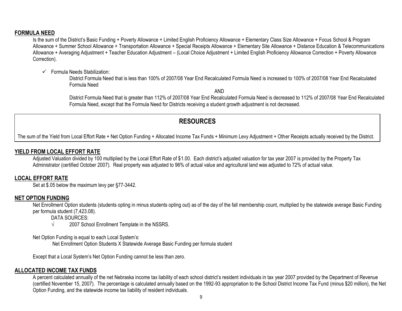# **FORMULA NEED**

Is the sum of the District's Basic Funding + Poverty Allowance + Limited English Proficiency Allowance + Elementary Class Size Allowance + Focus School & Program Allowance + Summer School Allowance + Transportation Allowance + Special Receipts Allowance + Elementary Site Allowance + Distance Education & Telecommunications Allowance + Averaging Adjustment + Teacher Education Adjustment – (Local Choice Adjustment + Limited English Proficiency Allowance Correction + Poverty Allowance Correction).

 $\checkmark$  Formula Needs Stabilization:

District Formula Need that is less than 100% of 2007/08 Year End Recalculated Formula Need is increased to 100% of 2007/08 Year End Recalculated Formula Need

AND

District Formula Need that is greater than 112% of 2007/08 Year End Recalculated Formula Need is decreased to 112% of 2007/08 Year End Recalculated Formula Need, except that the Formula Need for Districts receiving a student growth adjustment is not decreased.

# **RESOURCES**

The sum of the Yield from Local Effort Rate + Net Option Funding + Allocated Income Tax Funds + Minimum Levy Adjustment + Other Receipts actually received by the District.

# **YIELD FROM LOCAL EFFORT RATE**

Adjusted Valuation divided by 100 multiplied by the Local Effort Rate of \$1.00. Each district's adjusted valuation for tax year 2007 is provided by the Property Tax Administrator (certified October 2007). Real property was adjusted to 96% of actual value and agricultural land was adjusted to 72% of actual value.

# **LOCAL EFFORT RATE**

Set at \$.05 below the maximum levy per §77-3442.

# **NET OPTION FUNDING**

Net Enrollment Option students (students opting in minus students opting out) as of the day of the fall membership count, multiplied by the statewide average Basic Funding per formula student (7,423.08).

DATA SOURCES:

 $\sqrt{2007}$  School Enrollment Template in the NSSRS.

Net Option Funding is equal to each Local System's:

Net Enrollment Option Students X Statewide Average Basic Funding per formula student

Except that a Local System's Net Option Funding cannot be less than zero.

# **ALLOCATED INCOME TAX FUNDS**

A percent calculated annually of the net Nebraska income tax liability of each school district's resident individuals in tax year 2007 provided by the Department of Revenue (certified November 15, 2007). The percentage is calculated annually based on the 1992-93 appropriation to the School District Income Tax Fund (minus \$20 million), the Net Option Funding, and the statewide income tax liability of resident individuals.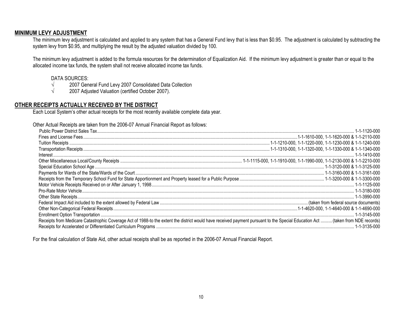# **MINIMUM LEVY ADJUSTMENT**

The minimum levy adjustment is calculated and applied to any system that has a General Fund levy that is less than \$0.95. The adjustment is calculated by subtracting the system levy from \$0.95, and multiplying the result by the adjusted valuation divided by 100.

The minimum levy adjustment is added to the formula resources for the determination of Equalization Aid. If the minimum levy adjustment is greater than or equal to the allocated income tax funds, the system shall not receive allocated income tax funds.

#### DATA SOURCES:

- √ 2007 General Fund Levy 2007 Consolidated Data Collection
- √ 2007 Adjusted Valuation (certified October 2007).

#### **OTHER RECEIPTS ACTUALLY RECEIVED BY THE DISTRICT**

Each Local System's other actual receipts for the most recently available complete data year.

Other Actual Receipts are taken from the 2006-07 Annual Financial Report as follows:

| Receipts from Medicare Catastrophic Coverage Act of 1988-to the extent the district would have received payment pursuant to the Special Education Act  (taken from NDE records) |              |
|---------------------------------------------------------------------------------------------------------------------------------------------------------------------------------|--------------|
|                                                                                                                                                                                 | 1-1-3135-000 |

For the final calculation of State Aid, other actual receipts shall be as reported in the 2006-07 Annual Financial Report.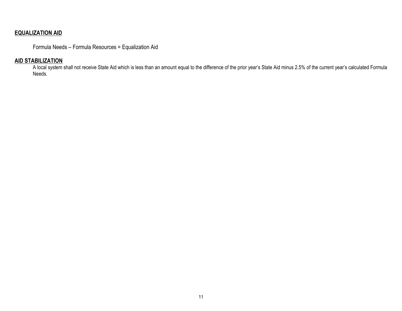# **EQUALIZATION AID**

Formula Needs – Formula Resources = Equalization Aid

# **AID STABILIZATION**

A local system shall not receive State Aid which is less than an amount equal to the difference of the prior year's State Aid minus 2.5% of the current year's calculated Formula Needs.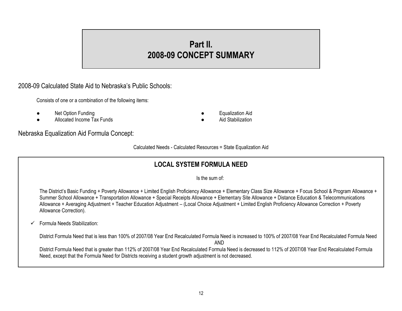# **Part II. 2008-09 CONCEPT SUMMARY**

2008-09 Calculated State Aid to Nebraska's Public Schools:

Consists of one or a combination of the following items:

- **Net Option Funding and Contract Contract Contract Contract Contract Contract Contract Contract Contract Contract Contract Contract Contract Contract Contract Contract Contract Contract Contract Contract Contract Contract**
- Allocated Income Tax Funds Aid Stabilization
- -

Nebraska Equalization Aid Formula Concept:

Calculated Needs - Calculated Resources = State Equalization Aid

# **LOCAL SYSTEM FORMULA NEED**

Is the sum of:

The District's Basic Funding + Poverty Allowance + Limited English Proficiency Allowance + Elementary Class Size Allowance + Focus School & Program Allowance + Summer School Allowance + Transportation Allowance + Special Receipts Allowance + Elementary Site Allowance + Distance Education & Telecommunications Allowance + Averaging Adjustment + Teacher Education Adjustment – (Local Choice Adjustment + Limited English Proficiency Allowance Correction + Poverty Allowance Correction).

 $\checkmark$  Formula Needs Stabilization:

District Formula Need that is less than 100% of 2007/08 Year End Recalculated Formula Need is increased to 100% of 2007/08 Year End Recalculated Formula Need

AND

District Formula Need that is greater than 112% of 2007/08 Year End Recalculated Formula Need is decreased to 112% of 2007/08 Year End Recalculated Formula Need, except that the Formula Need for Districts receiving a student growth adjustment is not decreased.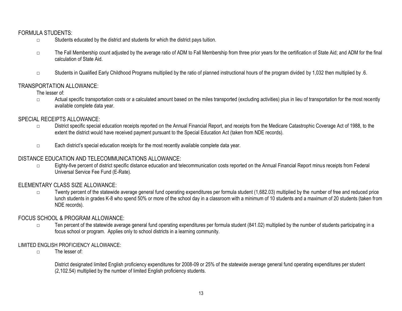# FORMULA STUDENTS:

- □ Students educated by the district and students for which the district pays tuition.
- □ The Fall Membership count adjusted by the average ratio of ADM to Fall Membership from three prior years for the certification of State Aid; and ADM for the final calculation of State Aid.
- □ Students in Qualified Early Childhood Programs multiplied by the ratio of planned instructional hours of the program divided by 1,032 then multiplied by .6.

# TRANSPORTATION ALLOWANCE:

The lesser of:

□ Actual specific transportation costs or a calculated amount based on the miles transported (excluding activities) plus in lieu of transportation for the most recently available complete data year.

#### SPECIAL RECEIPTS ALLOWANCE:

- □ District specific special education receipts reported on the Annual Financial Report, and receipts from the Medicare Catastrophic Coverage Act of 1988, to the extent the district would have received payment pursuant to the Special Education Act (taken from NDE records).
- □ Each district's special education receipts for the most recently available complete data year.

# DISTANCE EDUCATION AND TELECOMMUNICATIONS ALLOWANCE:

□ Eighty-five percent of district specific distance education and telecommunication costs reported on the Annual Financial Report minus receipts from Federal Universal Service Fee Fund (E-Rate).

# ELEMENTARY CLASS SIZE ALLOWANCE:

 $\square$  Twenty percent of the statewide average general fund operating expenditures per formula student (1,682.03) multiplied by the number of free and reduced price lunch students in grades K-8 who spend 50% or more of the school day in a classroom with a minimum of 10 students and a maximum of 20 students (taken from NDE records).

# FOCUS SCHOOL & PROGRAM ALLOWANCE:

□ Ten percent of the statewide average general fund operating expenditures per formula student (841.02) multiplied by the number of students participating in a focus school or program. Applies only to school districts in a learning community.

# LIMITED ENGLISH PROFICIENCY ALLOWANCE:

□ The lesser of:

District designated limited English proficiency expenditures for 2008-09 or 25% of the statewide average general fund operating expenditures per student (2,102.54) multiplied by the number of limited English proficiency students.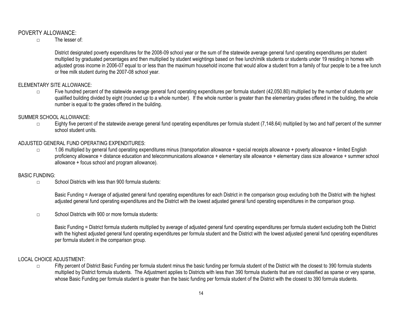# POVERTY ALLOWANCE:

□ The lesser of:

District designated poverty expenditures for the 2008-09 school year or the sum of the statewide average general fund operating expenditures per student multiplied by graduated percentages and then multiplied by student weightings based on free lunch/milk students or students under 19 residing in homes with adjusted gross income in 2006-07 equal to or less than the maximum household income that would allow a student from a family of four people to be a free lunch or free milk student during the 2007-08 school year.

# ELEMENTARY SITE ALLOWANCE:

 $\square$  Five hundred percent of the statewide average general fund operating expenditures per formula student (42,050.80) multiplied by the number of students per qualified building divided by eight (rounded up to a whole number). If the whole number is greater than the elementary grades offered in the building, the whole number is equal to the grades offered in the building.

#### SUMMER SCHOOL ALLOWANCE:

□ Eighty five percent of the statewide average general fund operating expenditures per formula student (7,148.64) multiplied by two and half percent of the summer school student units.

#### ADJUSTED GENERAL FUND OPERATING EXPENDITURES:

□ 1.06 multiplied by general fund operating expenditures minus (transportation allowance + special receipts allowance + poverty allowance + limited English proficiency allowance + distance education and telecommunications allowance + elementary site allowance + elementary class size allowance + summer school allowance + focus school and program allowance).

#### BASIC FUNDING:

□ School Districts with less than 900 formula students:

Basic Funding = Average of adjusted general fund operating expenditures for each District in the comparison group excluding both the District with the highest adjusted general fund operating expenditures and the District with the lowest adjusted general fund operating expenditures in the comparison group.

 $\nabla$  School Districts with 900 or more formula students:

Basic Funding = District formula students multiplied by average of adjusted general fund operating expenditures per formula student excluding both the District with the highest adjusted general fund operating expenditures per formula student and the District with the lowest adjusted general fund operating expenditures per formula student in the comparison group.

#### LOCAL CHOICE ADJUSTMENT:

□ Fifty percent of District Basic Funding per formula student minus the basic funding per formula student of the District with the closest to 390 formula students multiplied by District formula students. The Adjustment applies to Districts with less than 390 formula students that are not classified as sparse or very sparse, whose Basic Funding per formula student is greater than the basic funding per formula student of the District with the closest to 390 formula students.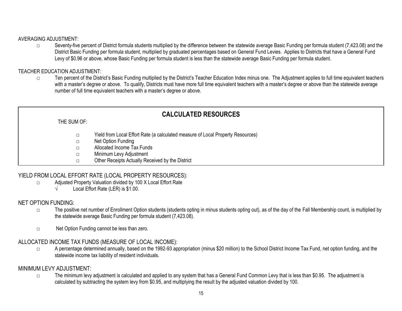#### AVERAGING ADJUSTMENT:

□ Seventy-five percent of District formula students multiplied by the difference between the statewide average Basic Funding per formula student (7,423.08) and the District Basic Funding per formula student, multiplied by graduated percentages based on General Fund Levies. Applies to Districts that have a General Fund Levy of \$0.96 or above, whose Basic Funding per formula student is less than the statewide average Basic Funding per formula student.

# TEACHER EDUCATION ADJUSTMENT:

□ Ten percent of the District's Basic Funding multiplied by the District's Teacher Education Index minus one. The Adjustment applies to full time equivalent teachers with a master's degree or above. To qualify, Districts must have more full time equivalent teachers with a master's degree or above than the statewide average number of full time equivalent teachers with a master's degree or above.

# **CALCULATED RESOURCES**

THE SUM OF:

□ Yield from Local Effort Rate (a calculated measure of Local Property Resources)

□ Net Option Funding

- □ Allocated Income Tax Funds
- □ Minimum Levy Adjustment
- □ Other Receipts Actually Received by the District

# YIELD FROM LOCAL EFFORT RATE (LOCAL PROPERTY RESOURCES):

- □ Adjusted Property Valuation divided by 100 X Local Effort Rate
	- $\sqrt{\phantom{a}}$  Local Effort Rate (LER) is \$1.00.

# NET OPTION FUNDING:

- □ The positive net number of Enrollment Option students (students opting in minus students opting out), as of the day of the Fall Membership count, is multiplied by the statewide average Basic Funding per formula student (7,423.08).
- □ Net Option Funding cannot be less than zero.

# ALLOCATED INCOME TAX FUNDS (MEASURE OF LOCAL INCOME):

□ A percentage determined annually, based on the 1992-93 appropriation (minus \$20 million) to the School District Income Tax Fund, net option funding, and the statewide income tax liability of resident individuals.

# MINIMUM LEVY ADJUSTMENT:

□ The minimum levy adjustment is calculated and applied to any system that has a General Fund Common Levy that is less than \$0.95. The adjustment is calculated by subtracting the system levy from \$0.95, and multiplying the result by the adjusted valuation divided by 100.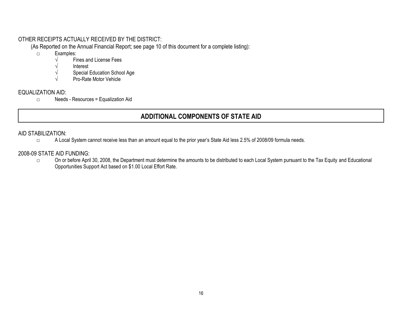# OTHER RECEIPTS ACTUALLY RECEIVED BY THE DISTRICT:

(As Reported on the Annual Financial Report; see page 10 of this document for a complete listing):

- □ Examples:
	- √ Fines and License Fees
	- √ Interest
	- √ Special Education School Age
	- √ Pro-Rate Motor Vehicle

# EQUALIZATION AID:

□ Needs - Resources = Equalization Aid

# **ADDITIONAL COMPONENTS OF STATE AID**

# AID STABILIZATION:

□ A Local System cannot receive less than an amount equal to the prior year's State Aid less 2.5% of 2008/09 formula needs.

# 2008-09 STATE AID FUNDING:

□ On or before April 30, 2008, the Department must determine the amounts to be distributed to each Local System pursuant to the Tax Equity and Educational Opportunities Support Act based on \$1.00 Local Effort Rate.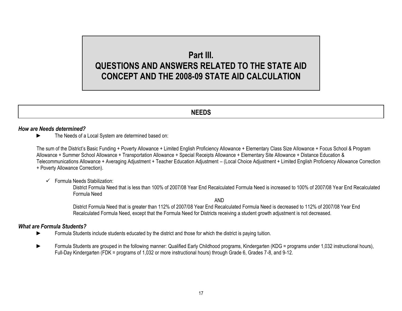# **Part III. QUESTIONS AND ANSWERS RELATED TO THE STATE AID CONCEPT AND THE 2008-09 STATE AID CALCULATION**

# **NEEDS**

# *How are Needs determined?*

► The Needs of a Local System are determined based on:

The sum of the District's Basic Funding + Poverty Allowance + Limited English Proficiency Allowance + Elementary Class Size Allowance + Focus School & Program Allowance + Summer School Allowance + Transportation Allowance + Special Receipts Allowance + Elementary Site Allowance + Distance Education & Telecommunications Allowance + Averaging Adjustment + Teacher Education Adjustment – (Local Choice Adjustment + Limited English Proficiency Allowance Correction + Poverty Allowance Correction).

#### $\checkmark$  Formula Needs Stabilization:

District Formula Need that is less than 100% of 2007/08 Year End Recalculated Formula Need is increased to 100% of 2007/08 Year End Recalculated Formula Need

AND

District Formula Need that is greater than 112% of 2007/08 Year End Recalculated Formula Need is decreased to 112% of 2007/08 Year End Recalculated Formula Need, except that the Formula Need for Districts receiving a student growth adjustment is not decreased.

#### *What are Formula Students?*

- ► Formula Students include students educated by the district and those for which the district is paying tuition.
- ► Formula Students are grouped in the following manner: Qualified Early Childhood programs, Kindergarten (KDG = programs under 1,032 instructional hours), Full-Day Kindergarten (FDK = programs of 1,032 or more instructional hours) through Grade 6, Grades 7-8, and 9-12.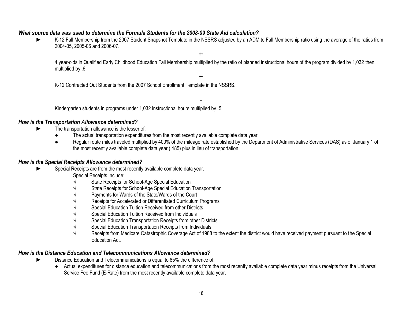# *What source data was used to determine the Formula Students for the 2008-09 State Aid calculation?*

K-12 Fall Membership from the 2007 Student Snapshot Template in the NSSRS adjusted by an ADM to Fall Membership ratio using the average of the ratios from 2004-05, 2005-06 and 2006-07.

+

4 year-olds in Qualified Early Childhood Education Fall Membership multiplied by the ratio of planned instructional hours of the program divided by 1,032 then multiplied by  $.6$ .

+

-

K-12 Contracted Out Students from the 2007 School Enrollment Template in the NSSRS.

Kindergarten students in programs under 1,032 instructional hours multiplied by .5.

#### *How is the Transportation Allowance determined?*

- The transportation allowance is the lesser of:
	- The actual transportation expenditures from the most recently available complete data year.
	- Regular route miles traveled multiplied by 400% of the mileage rate established by the Department of Administrative Services (DAS) as of January 1 of the most recently available complete data year (.485) plus in lieu of transportation.

# *How is the Special Receipts Allowance determined?*

- Special Receipts are from the most recently available complete data year.
	- Special Receipts Include:
	- State Receipts for School-Age Special Education
	- State Receipts for School-Age Special Education Transportation
	- Payments for Wards of the State/Wards of the Court
	- Receipts for Accelerated or Differentiated Curriculum Programs
	- Special Education Tuition Received from other Districts
	- Special Education Tuition Received from Individuals
	- $\sqrt{\phantom{a}}$  Special Education Transportation Receipts from other Districts
	- $\sqrt{\ }$  Special Education Transportation Receipts from Individuals
	- Receipts from Medicare Catastrophic Coverage Act of 1988 to the extent the district would have received payment pursuant to the Special Education Act.

# *How is the Distance Education and Telecommunications Allowance determined?*

- ► Distance Education and Telecommunications is equal to 85% the difference of:
	- Actual expenditures for distance education and telecommunications from the most recently available complete data year minus receipts from the Universal Service Fee Fund (E-Rate) from the most recently available complete data year.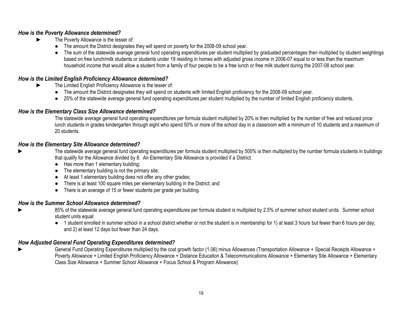# *How is the Poverty Allowance determined?*

- The Poverty Allowance is the lesser of:
	- The amount the District designates they will spend on poverty for the 2008-09 school year.
	- The sum of the statewide average general fund operating expenditures per student multiplied by graduated percentages then multiplied by student weightings based on free lunch/milk students or students under 19 residing in homes with adjusted gross income in 2006-07 equal to or less than the maximum household income that would allow a student from a family of four people to be a free lunch or free milk student during the 2007-08 school year.

# *How is the Limited English Proficiency Allowance determined?*

- The Limited English Proficiency Allowance is the lesser of:
	- The amount the District designates they will spend on students with limited English proficiency for the 2008-09 school year.
	- 25% of the statewide average general fund operating expenditures per student multiplied by the number of limited English proficiency students.

# *How is the Elementary Class Size Allowance determined?*

The statewide average general fund operating expenditures per formula student multiplied by 20% is then multiplied by the number of free and reduced price lunch students in grades kindergarten through eight who spend 50% or more of the school day in a classroom with a minimum of 10 students and a maximum of 20 students.

# *How is the Elementary Site Allowance determined?*

- The statewide average general fund operating expenditures per formula student multiplied by 500% is then multiplied by the number formula students in buildings that qualify for the Allowance divided by 8. An Elementary Site Allowance is provided if a District:
	- Has more than 1 elementary building:
	- $\bullet$  The elementary building is not the primary site;
	- At least 1 elementary building does not offer any other grades;
	- There is at least 100 square miles per elementary building in the District; and
	- There is an average of 15 or fewer students per grade per building.

# *How is the Summer School Allowance determined?*

- 85% of the statewide average general fund operating expenditures per formula student is multiplied by 2.5% of summer school student units. Summer school student units equal:
	- 1 student enrolled in summer school in a school district whether or not the student is in membership for 1) at least 3 hours but fewer than 6 hours per day; and 2) at least 12 days but fewer than 24 days.

# *How Adjusted General Fund Operating Expenditures determined?*

General Fund Operating Expenditures multiplied by the cost growth factor (1.06) minus Allowances (Transportation Allowance + Special Receipts Allowance + Poverty Allowance + Limited English Proficiency Allowance + Distance Education & Telecommunications Allowance + Elementary Site Allowance + Elementary Class Size Allowance + Summer School Allowance + Focus School & Program Allowance)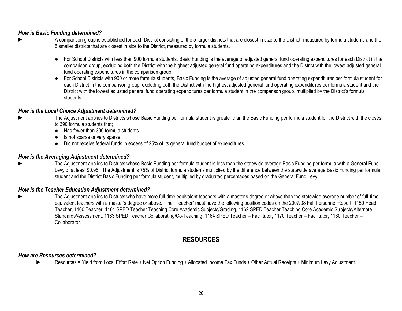### *How is Basic Funding determined?*

- A comparison group is established for each District consisting of the 5 larger districts that are closest in size to the District, measured by formula students and the 5 smaller districts that are closest in size to the District, measured by formula students.
	- For School Districts with less than 900 formula students, Basic Funding is the average of adjusted general fund operating expenditures for each District in the comparison group, excluding both the District with the highest adjusted general fund operating expenditures and the District with the lowest adjusted general fund operating expenditures in the comparison group.
	- For School Districts with 900 or more formula students, Basic Funding is the average of adjusted general fund operating expenditures per formula student for each District in the comparison group, excluding both the District with the highest adjusted general fund operating expenditures per formula student and the District with the lowest adjusted general fund operating expenditures per formula student in the comparison group, multiplied by the District's formula students.

#### *How is the Local Choice Adjustment determined?*

- The Adjustment applies to Districts whose Basic Funding per formula student is greater than the Basic Funding per formula student for the District with the closest to 390 formula students that;
	- Has fewer than 390 formula students
	- Is not sparse or very sparse
	- Did not receive federal funds in excess of 25% of its general fund budget of expenditures

#### *How is the Averaging Adjustment determined?*

The Adjustment applies to Districts whose Basic Funding per formula student is less than the statewide average Basic Funding per formula with a General Fund Levy of at least \$0.96. The Adjustment is 75% of District formula students multiplied by the difference between the statewide average Basic Funding per formula student and the District Basic Funding per formula student, multiplied by graduated percentages based on the General Fund Levy.

#### *How is the Teacher Education Adjustment determined?*

The Adjustment applies to Districts who have more full-time equivalent teachers with a master's degree or above than the statewide average number of full-time equivalent teachers with a master's degree or above. The "Teacher" must have the following position codes on the 2007/08 Fall Personnel Report; 1150 Head Teacher, 1160 Teacher, 1161 SPED Teacher Teaching Core Academic Subjects/Grading, 1162 SPED Teacher Teaching Core Academic Subjects/Alternate Standards/Assessment, 1163 SPED Teacher Collaborating/Co-Teaching, 1164 SPED Teacher – Facilitator, 1170 Teacher – Facilitator, 1180 Teacher – Collaborator.

# **RESOURCES**

#### *How are Resources determined?*

Resources = Yield from Local Effort Rate + Net Option Funding + Allocated Income Tax Funds + Other Actual Receipts + Minimum Levy Adjustment.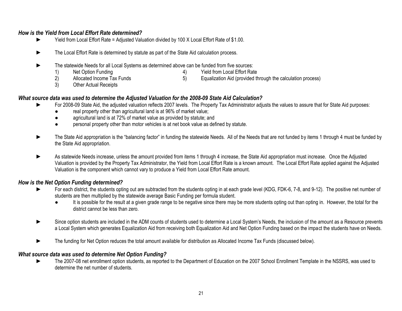# *How is the Yield from Local Effort Rate determined?*

- ► Yield from Local Effort Rate = Adjusted Valuation divided by 100 X Local Effort Rate of \$1.00.
- ► The Local Effort Rate is determined by statute as part of the State Aid calculation process.
- The statewide Needs for all Local Systems as determined above can be funded from five sources:
	- 1) Net Option Funding 4) Yield from Local Effort Rate
	-

2) Allocated Income Tax Funds 6) Equalization Aid (provided through the calculation process)

3) Other Actual Receipts

# *What source data was used to determine the Adjusted Valuation for the 2008-09 State Aid Calculation?*

- For 2008-09 State Aid, the adjusted valuation reflects 2007 levels. The Property Tax Administrator adjusts the values to assure that for State Aid purposes:
	- real property other than agricultural land is at 96% of market value;
	- agricultural land is at 72% of market value as provided by statute; and
	- personal property other than motor vehicles is at net book value as defined by statute.
- The State Aid appropriation is the "balancing factor" in funding the statewide Needs. All of the Needs that are not funded by items 1 through 4 must be funded by the State Aid appropriation.
- As statewide Needs increase, unless the amount provided from items 1 through 4 increase, the State Aid appropriation must increase. Once the Adjusted Valuation is provided by the Property Tax Administrator, the Yield from Local Effort Rate is a known amount. The Local Effort Rate applied against the Adjusted Valuation is the component which cannot vary to produce a Yield from Local Effort Rate amount.

# *How is the Net Option Funding determined?*

- ► For each district, the students opting out are subtracted from the students opting in at each grade level (KDG, FDK-6, 7-8, and 9-12). The positive net number of students are then multiplied by the statewide average Basic Funding per formula student.
	- It is possible for the result at a given grade range to be negative since there may be more students opting out than opting in. However, the total for the district cannot be less than zero.
- Since option students are included in the ADM counts of students used to determine a Local System's Needs, the inclusion of the amount as a Resource prevents a Local System which generates Equalization Aid from receiving both Equalization Aid and Net Option Funding based on the impact the students have on Needs.
- The funding for Net Option reduces the total amount available for distribution as Allocated Income Tax Funds (discussed below).

# *What source data was used to determine Net Option Funding?*

The 2007-08 net enrollment option students, as reported to the Department of Education on the 2007 School Enrollment Template in the NSSRS, was used to determine the net number of students.